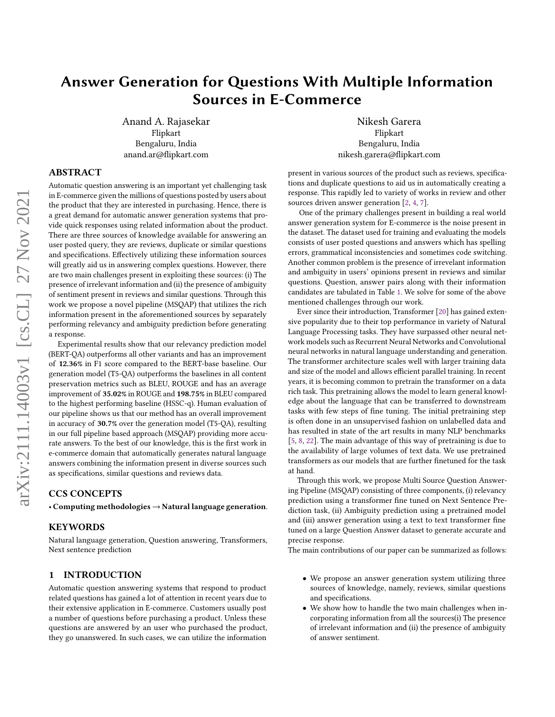# Answer Generation for Questions With Multiple Information Sources in E-Commerce

Anand A. Rajasekar Flipkart Bengaluru, India anand.ar@flipkart.com

## Nikesh Garera Flipkart Bengaluru, India nikesh.garera@flipkart.com

## ABSTRACT

Automatic question answering is an important yet challenging task in E-commerce given the millions of questions posted by users about the product that they are interested in purchasing. Hence, there is a great demand for automatic answer generation systems that provide quick responses using related information about the product. There are three sources of knowledge available for answering an user posted query, they are reviews, duplicate or similar questions and specifications. Effectively utilizing these information sources will greatly aid us in answering complex questions. However, there are two main challenges present in exploiting these sources: (i) The presence of irrelevant information and (ii) the presence of ambiguity of sentiment present in reviews and similar questions. Through this work we propose a novel pipeline (MSQAP) that utilizes the rich information present in the aforementioned sources by separately performing relevancy and ambiguity prediction before generating a response.

Experimental results show that our relevancy prediction model (BERT-QA) outperforms all other variants and has an improvement of 12.36% in F1 score compared to the BERT-base baseline. Our generation model (T5-QA) outperforms the baselines in all content preservation metrics such as BLEU, ROUGE and has an average improvement of 35.02% in ROUGE and 198.75% in BLEU compared to the highest performing baseline (HSSC-q). Human evaluation of our pipeline shows us that our method has an overall improvement in accuracy of 30.7% over the generation model (T5-QA), resulting in our full pipeline based approach (MSQAP) providing more accurate answers. To the best of our knowledge, this is the first work in e-commerce domain that automatically generates natural language answers combining the information present in diverse sources such as specifications, similar questions and reviews data.

#### CCS CONCEPTS

• Computing methodologies → Natural language generation.

## **KEYWORDS**

Natural language generation, Question answering, Transformers, Next sentence prediction

## 1 INTRODUCTION

Automatic question answering systems that respond to product related questions has gained a lot of attention in recent years due to their extensive application in E-commerce. Customers usually post a number of questions before purchasing a product. Unless these questions are answered by an user who purchased the product, they go unanswered. In such cases, we can utilize the information

present in various sources of the product such as reviews, specifications and duplicate questions to aid us in automatically creating a response. This rapidly led to variety of works in review and other sources driven answer generation [\[2,](#page-6-0) [4,](#page-6-1) [7\]](#page-6-2).

One of the primary challenges present in building a real world answer generation system for E-commerce is the noise present in the dataset. The dataset used for training and evaluating the models consists of user posted questions and answers which has spelling errors, grammatical inconsistencies and sometimes code switching. Another common problem is the presence of irrevelant information and ambiguity in users' opinions present in reviews and similar questions. Question, answer pairs along with their information candidates are tabulated in Table [1.](#page-1-0) We solve for some of the above mentioned challenges through our work.

Ever since their introduction, Transformer [\[20\]](#page-6-3) has gained extensive popularity due to their top performance in variety of Natural Language Processing tasks. They have surpassed other neural network models such as Recurrent Neural Networks and Convolutional neural networks in natural language understanding and generation. The transformer architecture scales well with larger training data and size of the model and allows efficient parallel training. In recent years, it is becoming common to pretrain the transformer on a data rich task. This pretraining allows the model to learn general knowledge about the language that can be transferred to downstream tasks with few steps of fine tuning. The initial pretraining step is often done in an unsupervised fashion on unlabelled data and has resulted in state of the art results in many NLP benchmarks [\[5,](#page-6-4) [8,](#page-6-5) [22\]](#page-7-0). The main advantage of this way of pretraining is due to the availability of large volumes of text data. We use pretrained transformers as our models that are further finetuned for the task at hand.

Through this work, we propose Multi Source Question Answering Pipeline (MSQAP) consisting of three components, (i) relevancy prediction using a transformer fine tuned on Next Sentence Prediction task, (ii) Ambiguity prediction using a pretrained model and (iii) answer generation using a text to text transformer fine tuned on a large Question Answer dataset to generate accurate and precise response.

The main contributions of our paper can be summarized as follows:

- We propose an answer generation system utilizing three sources of knowledge, namely, reviews, similar questions and specifications.
- We show how to handle the two main challenges when incorporating information from all the sources(i) The presence of irrelevant information and (ii) the presence of ambiguity of answer sentiment.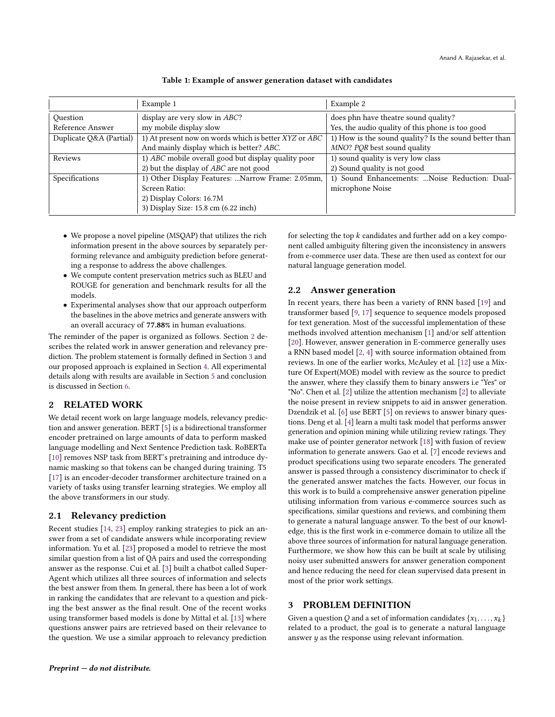<span id="page-1-0"></span>

|                         | Example 1                                             | Example 2                                             |  |
|-------------------------|-------------------------------------------------------|-------------------------------------------------------|--|
| Ouestion                | display are very slow in <i>ABC</i> ?                 | does phn have theatre sound quality?                  |  |
| Reference Answer        | my mobile display slow                                | Yes, the audio quality of this phone is too good      |  |
| Duplicate Q&A (Partial) | 1) At present now on words which is better XYZ or ABC | 1) How is the sound quality? Is the sound better than |  |
|                         | And mainly display which is better? ABC.              | MNO? PQR best sound quality                           |  |
| Reviews                 | 1) ABC mobile overall good but display quality poor   | 1) sound quality is very low class                    |  |
|                         | 2) but the display of <i>ABC</i> are not good         | 2) Sound quality is not good                          |  |
| Specifications          | 1) Other Display Features:  Narrow Frame: 2.05mm,     | 1) Sound Enhancements:  Noise Reduction: Dual-        |  |
|                         | Screen Ratio:                                         | microphone Noise                                      |  |
|                         | 2) Display Colors: 16.7M                              |                                                       |  |
|                         | 3) Display Size: 15.8 cm (6.22 inch)                  |                                                       |  |

Table 1: Example of answer generation dataset with candidates

- We propose a novel pipeline (MSQAP) that utilizes the rich information present in the above sources by separately performing relevance and ambiguity prediction before generating a response to address the above challenges.
- We compute content preservation metrics such as BLEU and ROUGE for generation and benchmark results for all the models.
- Experimental analyses show that our approach outperform the baselines in the above metrics and generate answers with an overall accuracy of 77.88% in human evaluations.

The reminder of the paper is organized as follows. Section [2](#page-1-1) describes the related work in answer generation and relevancy prediction. The problem statement is formally defined in Section [3](#page-1-2) and our proposed approach is explained in Section [4.](#page-2-0) All experimental details along with results are available in Section [5](#page-3-0) and conclusion is discussed in Section [6.](#page-6-6)

## <span id="page-1-1"></span>2 RELATED WORK

We detail recent work on large language models, relevancy prediction and answer generation. BERT [\[5\]](#page-6-4) is a bidirectional transformer encoder pretrained on large amounts of data to perform masked language modelling and Next Sentence Prediction task. RoBERTa [\[10\]](#page-6-7) removes NSP task from BERT's pretraining and introduce dynamic masking so that tokens can be changed during training. T5 [\[17\]](#page-6-8) is an encoder-decoder transformer architecture trained on a variety of tasks using transfer learning strategies. We employ all the above transformers in our study.

## 2.1 Relevancy prediction

Recent studies [\[14,](#page-6-9) [23\]](#page-7-1) employ ranking strategies to pick an answer from a set of candidate answers while incorporating review information. Yu et al. [\[23\]](#page-7-1) proposed a model to retrieve the most similar question from a list of QA pairs and used the corresponding answer as the response. Cui et al. [\[3\]](#page-6-10) built a chatbot called Super-Agent which utilizes all three sources of information and selects the best answer from them. In general, there has been a lot of work in ranking the candidates that are relevant to a question and picking the best answer as the final result. One of the recent works using transformer based models is done by Mittal et al. [\[13\]](#page-6-11) where questions answer pairs are retrieved based on their relevance to the question. We use a similar approach to relevancy prediction

for selecting the top  $k$  candidates and further add on a key component called ambiguity filtering given the inconsistency in answers from e-commerce user data. These are then used as context for our natural language generation model.

## 2.2 Answer generation

In recent years, there has been a variety of RNN based [\[19\]](#page-6-12) and transformer based [\[9,](#page-6-13) [17\]](#page-6-8) sequence to sequence models proposed for text generation. Most of the successful implementation of these methods involved attention mechanism [\[1\]](#page-6-14) and/or self attention [\[20\]](#page-6-3). However, answer generation in E-commerce generally uses a RNN based model [\[2,](#page-6-0) [4\]](#page-6-1) with source information obtained from reviews. In one of the earlier works, McAuley et al. [\[12\]](#page-6-15) use a Mixture Of Expert(MOE) model with review as the source to predict the answer, where they classify them to binary answers i.e "Yes" or "No". Chen et al. [\[2\]](#page-6-0) utilize the attention mechanism [\[2\]](#page-6-0) to alleviate the noise present in review snippets to aid in answer generation. Dzendzik et al. [\[6\]](#page-6-16) use BERT [\[5\]](#page-6-4) on reviews to answer binary questions. Deng et al. [\[4\]](#page-6-1) learn a multi task model that performs answer generation and opinion mining while utilizing review ratings. They make use of pointer generator network [\[18\]](#page-6-17) with fusion of review information to generate answers. Gao et al. [\[7\]](#page-6-2) encode reviews and product specifications using two separate encoders. The generated answer is passed through a consistency discriminator to check if the generated answer matches the facts. However, our focus in this work is to build a comprehensive answer generation pipeline utilising information from various e-commerce sources such as specifications, similar questions and reviews, and combining them to generate a natural language answer. To the best of our knowledge, this is the first work in e-commerce domain to utilize all the above three sources of information for natural language generation. Furthermore, we show how this can be built at scale by utilising noisy user submitted answers for answer generation component and hence reducing the need for clean supervised data present in most of the prior work settings.

## <span id="page-1-2"></span>3 PROBLEM DEFINITION

Given a question Q and a set of information candidates  $\{x_1, \ldots, x_k\}$ related to a product, the goal is to generate a natural language answer  $y$  as the response using relevant information.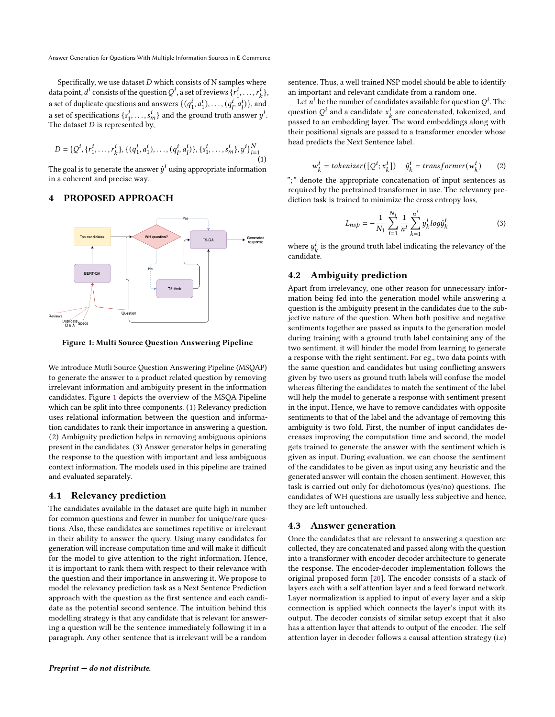Specifically, we use dataset  $D$  which consists of N samples where data point,  $d^i$  consists of the question  $Q^i$ , a set of reviews  $\{r_1^i\}$  $\{i_1, \ldots, r_k^i\},\$ a set of duplicate questions and answers  $\{(q^i_i)_{i \in I} \in \mathcal{A}_i\}$  $\{a_1^i, a_1^i\}, \ldots, (q_l^i, a_l^i)\}$ , and a set of specifications  $\{s_1^i\}$  $\{i_1, \ldots, s_m^i\}$  and the ground truth answer  $y^i$ . The dataset  $D$  is represented by,

$$
D = (Q^i, \{r_1^i, \dots, r_k^i\}, \{(q_1^i, a_1^i), \dots, (q_l^i, a_l^i)\}, \{s_1^i, \dots, s_m^i\}, y^i)\}_{i=1}^N
$$
(1)

The goal is to generate the answer  $\hat{y}^i$  using appropriate information in a coherent and precise way.

## <span id="page-2-0"></span>4 PROPOSED APPROACH

<span id="page-2-1"></span>

Figure 1: Multi Source Question Answering Pipeline

We introduce Mutli Source Question Answering Pipeline (MSQAP) to generate the answer to a product related question by removing irrelevant information and ambiguity present in the information candidates. Figure [1](#page-2-1) depicts the overview of the MSQA Pipeline which can be split into three components. (1) Relevancy prediction uses relational information between the question and information candidates to rank their importance in answering a question. (2) Ambiguity prediction helps in removing ambiguous opinions present in the candidates. (3) Answer generator helps in generating the response to the question with important and less ambiguous context information. The models used in this pipeline are trained and evaluated separately.

#### 4.1 Relevancy prediction

The candidates available in the dataset are quite high in number for common questions and fewer in number for unique/rare questions. Also, these candidates are sometimes repetitive or irrelevant in their ability to answer the query. Using many candidates for generation will increase computation time and will make it difficult for the model to give attention to the right information. Hence, it is important to rank them with respect to their relevance with the question and their importance in answering it. We propose to model the relevancy prediction task as a Next Sentence Prediction approach with the question as the first sentence and each candidate as the potential second sentence. The intuition behind this modelling strategy is that any candidate that is relevant for answering a question will be the sentence immediately following it in a paragraph. Any other sentence that is irrelevant will be a random

sentence. Thus, a well trained NSP model should be able to identify an important and relevant candidate from a random one.

Let  $n^i$  be the number of candidates available for question  $Q^i$ . The question  $Q^i$  and a candidate  $x_k^i$  are concatenated, tokenized, and passed to an embedding layer. The word embeddings along with their positional signals are passed to a transformer encoder whose head predicts the Next Sentence label.

$$
w_k^i = \text{tokenizer}(\left[Q^i; x_k^i\right])
$$
  $\hat{y}_k^i = \text{transformer}(w_k^i)$  (2)

"; " denote the appropriate concatenation of input sentences as required by the pretrained transformer in use. The relevancy prediction task is trained to minimize the cross entropy loss,

$$
L_{nsp} = -\frac{1}{N_1} \sum_{i=1}^{N_1} \frac{1}{n^i} \sum_{k=1}^{n^i} y_k^i \log \hat{y}_k^i \tag{3}
$$

where  $y_k^i$  is the ground truth label indicating the relevancy of the candidate.

## 4.2 Ambiguity prediction

Apart from irrelevancy, one other reason for unnecessary information being fed into the generation model while answering a question is the ambiguity present in the candidates due to the subjective nature of the question. When both positive and negative sentiments together are passed as inputs to the generation model during training with a ground truth label containing any of the two sentiment, it will hinder the model from learning to generate a response with the right sentiment. For eg., two data points with the same question and candidates but using conflicting answers given by two users as ground truth labels will confuse the model whereas filtering the candidates to match the sentiment of the label will help the model to generate a response with sentiment present in the input. Hence, we have to remove candidates with opposite sentiments to that of the label and the advantage of removing this ambiguity is two fold. First, the number of input candidates decreases improving the computation time and second, the model gets trained to generate the answer with the sentiment which is given as input. During evaluation, we can choose the sentiment of the candidates to be given as input using any heuristic and the generated answer will contain the chosen sentiment. However, this task is carried out only for dichotomous (yes/no) questions. The candidates of WH questions are usually less subjective and hence, they are left untouched.

## 4.3 Answer generation

Once the candidates that are relevant to answering a question are collected, they are concatenated and passed along with the question into a transformer with encoder decoder architecture to generate the response. The encoder-decoder implementation follows the original proposed form [\[20\]](#page-6-3). The encoder consists of a stack of layers each with a self attention layer and a feed forward network. Layer normalization is applied to input of every layer and a skip connection is applied which connects the layer's input with its output. The decoder consists of similar setup except that it also has a attention layer that attends to output of the encoder. The self attention layer in decoder follows a causal attention strategy (i.e)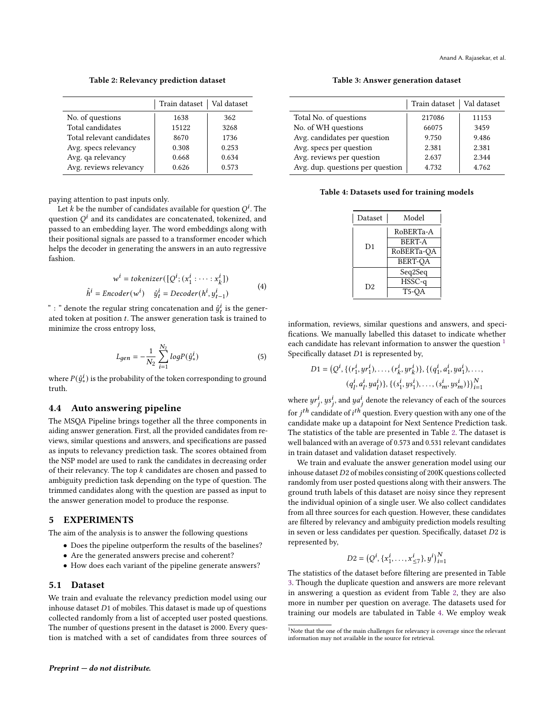Anand A. Rajasekar, et al.

Table 2: Relevancy prediction dataset

<span id="page-3-2"></span>

|                           | Train dataset   Val dataset |       |
|---------------------------|-----------------------------|-------|
| No. of questions          | 1638                        | 362   |
| Total candidates          | 15122                       | 3268  |
| Total relevant candidates | 8670                        | 1736  |
| Avg. specs relevancy      | 0.308                       | 0.253 |
| Avg. qa relevancy         | 0.668                       | 0.634 |
| Avg. reviews relevancy    | 0.626                       | 0.573 |

paying attention to past inputs only.

Let k be the number of candidates available for question  $Q^i$ . The question  $Q^i$  and its candidates are concatenated, tokenized, and passed to an embedding layer. The word embeddings along with their positional signals are passed to a transformer encoder which helps the decoder in generating the answers in an auto regressive fashion.

$$
w^{i} = \text{tokenizer}([\mathcal{Q}^{i}; (x_1^{i} : \dots : x_k^{i}])
$$
  

$$
\hat{h}^{i} = \text{Encoder}(w^{i}) \quad \hat{y}_{t}^{i} = \text{Decoder}(h^{i}, y_{t-1}^{i})
$$
 (4)

" : " denote the regular string concatenation and  $\hat{y}_t^i$  is the generated token at position  $t$ . The answer generation task is trained to minimize the cross entropy loss,

$$
L_{gen} = -\frac{1}{N_2} \sum_{i=1}^{N_2} log P(\dot{y}_*^i)
$$
 (5)

where  $P(\hat{y}^i_*)$  is the probability of the token corresponding to ground truth.

## 4.4 Auto answering pipeline

The MSQA Pipeline brings together all the three components in aiding answer generation. First, all the provided candidates from reviews, similar questions and answers, and specifications are passed as inputs to relevancy prediction task. The scores obtained from the NSP model are used to rank the candidates in decreasing order of their relevancy. The top  $k$  candidates are chosen and passed to ambiguity prediction task depending on the type of question. The trimmed candidates along with the question are passed as input to the answer generation model to produce the response.

## <span id="page-3-0"></span>5 EXPERIMENTS

The aim of the analysis is to answer the following questions

- Does the pipeline outperform the results of the baselines?
- Are the generated answers precise and coherent?
- How does each variant of the pipeline generate answers?

#### 5.1 Dataset

We train and evaluate the relevancy prediction model using our inhouse dataset  $D1$  of mobiles. This dataset is made up of questions collected randomly from a list of accepted user posted questions. The number of questions present in the dataset is 2000. Every question is matched with a set of candidates from three sources of

<span id="page-3-3"></span>

|                                  | Train dataset   Val dataset |       |
|----------------------------------|-----------------------------|-------|
| Total No. of questions           | 217086                      | 11153 |
| No. of WH questions              | 66075                       | 3459  |
| Avg. candidates per question     | 9.750                       | 9.486 |
| Avg. specs per question          | 2.381                       | 2.381 |
| Avg. reviews per question        | 2.637                       | 2.344 |
| Avg. dup. questions per question | 4.732                       | 4.762 |
|                                  |                             |       |

<span id="page-3-4"></span>Table 4: Datasets used for training models

| Dataset | Model          |  |  |
|---------|----------------|--|--|
|         | RoBERTa-A      |  |  |
| D1      | <b>BERT-A</b>  |  |  |
|         | RoBERTa-OA     |  |  |
|         | <b>BERT-OA</b> |  |  |
|         | Seq2Seq        |  |  |
| D2      | HSSC-a         |  |  |
|         | T5-OA          |  |  |

information, reviews, similar questions and answers, and specifications. We manually labelled this dataset to indicate whether each candidate has relevant information to answer the question  $1$ Specifically dataset  $D1$  is represented by,

$$
D1 = \left(Q^i, \{(r_1^i, yr_1^i), \dots, (r_k^i, yr_k^i)\}, \{(q_1^i, a_1^i, ya_1^i), \dots, (q_l^i, a_l^i, ya_l^i)\}, \{(s_1^i, ys_1^i), \dots, (s_m^i, ys_m^i)\}\right)_{i=1}^N
$$

where  $yr_j^i$ ,  $ys_j^i$ , and  $ya_j^i$  denote the relevancy of each of the sources for  $j^{th}$  candidate of  $i^{th}$  question. Every question with any one of the candidate make up a datapoint for Next Sentence Prediction task. The statistics of the table are presented in Table [2.](#page-3-2) The dataset is well balanced with an average of 0.573 and 0.531 relevant candidates in train dataset and validation dataset respectively.

We train and evaluate the answer generation model using our inhouse dataset  $D2$  of mobiles consisting of 200K questions collected randomly from user posted questions along with their answers. The ground truth labels of this dataset are noisy since they represent the individual opinion of a single user. We also collect candidates from all three sources for each question. However, these candidates are filtered by relevancy and ambiguity prediction models resulting in seven or less candidates per question. Specifically, dataset  $D2$  is represented by,

$$
D2 = (Q^i, \{x_1^i, \dots, x_{\leq 7}^i\}, y^i)_{i=1}^N
$$

The statistics of the dataset before filtering are presented in Table [3.](#page-3-3) Though the duplicate question and answers are more relevant in answering a question as evident from Table [2,](#page-3-2) they are also more in number per question on average. The datasets used for training our models are tabulated in Table [4.](#page-3-4) We employ weak

<span id="page-3-1"></span><sup>&</sup>lt;sup>1</sup>Note that the one of the main challenges for relevancy is coverage since the relevant information may not available in the source for retrieval.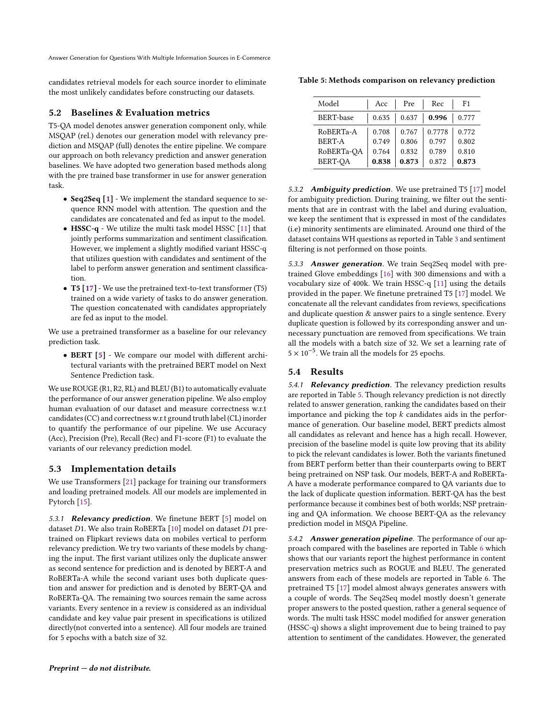Answer Generation for Questions With Multiple Information Sources in E-Commerce

candidates retrieval models for each source inorder to eliminate the most unlikely candidates before constructing our datasets.

## 5.2 Baselines & Evaluation metrics

T5-QA model denotes answer generation component only, while MSQAP (rel.) denotes our generation model with relevancy prediction and MSQAP (full) denotes the entire pipeline. We compare our approach on both relevancy prediction and answer generation baselines. We have adopted two generation based methods along with the pre trained base transformer in use for answer generation task.

- Seq2Seq [\[1\]](#page-6-14) We implement the standard sequence to sequence RNN model with attention. The question and the candidates are concatenated and fed as input to the model.
- HSSC-q We utilize the multi task model HSSC [\[11\]](#page-6-18) that jointly performs summarization and sentiment classification. However, we implement a slightly modified variant HSSC-q that utilizes question with candidates and sentiment of the label to perform answer generation and sentiment classification.
- T5 [\[17\]](#page-6-8) We use the pretrained text-to-text transformer (T5) trained on a wide variety of tasks to do answer generation. The question concatenated with candidates appropriately are fed as input to the model.

We use a pretrained transformer as a baseline for our relevancy prediction task.

• BERT [\[5\]](#page-6-4) - We compare our model with different architectural variants with the pretrained BERT model on Next Sentence Prediction task.

We use ROUGE (R1, R2, RL) and BLEU (B1) to automatically evaluate the performance of our answer generation pipeline. We also employ human evaluation of our dataset and measure correctness w.r.t candidates (CC) and correctness w.r.t ground truth label (CL) inorder to quantify the performance of our pipeline. We use Accuracy (Acc), Precision (Pre), Recall (Rec) and F1-score (F1) to evaluate the variants of our relevancy prediction model.

## 5.3 Implementation details

We use Transformers [\[21\]](#page-6-19) package for training our transformers and loading pretrained models. All our models are implemented in Pytorch [\[15\]](#page-6-20).

5.3.1 Relevancy prediction. We finetune BERT [\[5\]](#page-6-4) model on dataset  $D1$ . We also train RoBERTa [\[10\]](#page-6-7) model on dataset  $D1$  pretrained on Flipkart reviews data on mobiles vertical to perform relevancy prediction. We try two variants of these models by changing the input. The first variant utilizes only the duplicate answer as second sentence for prediction and is denoted by BERT-A and RoBERTa-A while the second variant uses both duplicate question and answer for prediction and is denoted by BERT-QA and RoBERTa-QA. The remaining two sources remain the same across variants. Every sentence in a review is considered as an individual candidate and key value pair present in specifications is utilized directly(not converted into a sentence). All four models are trained for 5 epochs with a batch size of 32.

<span id="page-4-0"></span>Table 5: Methods comparison on relevancy prediction

| Model                                    | Acc                     | Pre                     | Rec                      | F1                      |
|------------------------------------------|-------------------------|-------------------------|--------------------------|-------------------------|
| <b>BERT-base</b>                         | 0.635                   | 0.637                   | 0.996                    | 0.777                   |
| RoBERTa-A<br><b>BERT-A</b><br>RoBERTa-OA | 0.708<br>0.749<br>0.764 | 0.767<br>0.806<br>0.832 | 0.7778<br>0.797<br>0.789 | 0.772<br>0.802<br>0.810 |
| BERT-OA                                  | 0.838                   | 0.873                   | 0.872                    | 0.873                   |

5.3.2 Ambiguity prediction. We use pretrained T5 [\[17\]](#page-6-8) model for ambiguity prediction. During training, we filter out the sentiments that are in contrast with the label and during evaluation, we keep the sentiment that is expressed in most of the candidates (i.e) minority sentiments are eliminated. Around one third of the dataset contains WH questions as reported in Table [3](#page-3-3) and sentiment filtering is not performed on those points.

5.3.3 Answer generation. We train Seq2Seq model with pretrained Glove embeddings [\[16\]](#page-6-21) with 300 dimensions and with a vocabulary size of 400k. We train HSSC-q [\[11\]](#page-6-18) using the details provided in the paper. We finetune pretrained T5 [\[17\]](#page-6-8) model. We concatenate all the relevant candidates from reviews, specifications and duplicate question & answer pairs to a single sentence. Every duplicate question is followed by its corresponding answer and unnecessary punctuation are removed from specifications. We train all the models with a batch size of 32. We set a learning rate of  $5 \times 10^{-5}$ . We train all the models for 25 epochs.

## 5.4 Results

5.4.1 Relevancy prediction. The relevancy prediction results are reported in Table [5.](#page-4-0) Though relevancy prediction is not directly related to answer generation, ranking the candidates based on their importance and picking the top  $k$  candidates aids in the performance of generation. Our baseline model, BERT predicts almost all candidates as relevant and hence has a high recall. However, precision of the baseline model is quite low proving that its ability to pick the relevant candidates is lower. Both the variants finetuned from BERT perform better than their counterparts owing to BERT being pretrained on NSP task. Our models, BERT-A and RoBERTa-A have a moderate performance compared to QA variants due to the lack of duplicate question information. BERT-QA has the best performance because it combines best of both worlds; NSP pretraining and QA information. We choose BERT-QA as the relevancy prediction model in MSQA Pipeline.

5.4.2 Answer generation pipeline. The performance of our approach compared with the baselines are reported in Table [6](#page-5-0) which shows that our variants report the highest performance in content preservation metrics such as ROGUE and BLEU. The generated answers from each of these models are reported in Table 6. The pretrained T5 [\[17\]](#page-6-8) model almost always generates answers with a couple of words. The Seq2Seq model mostly doesn't generate proper answers to the posted question, rather a general sequence of words. The multi task HSSC model modified for answer generation (HSSC-q) shows a slight improvement due to being trained to pay attention to sentiment of the candidates. However, the generated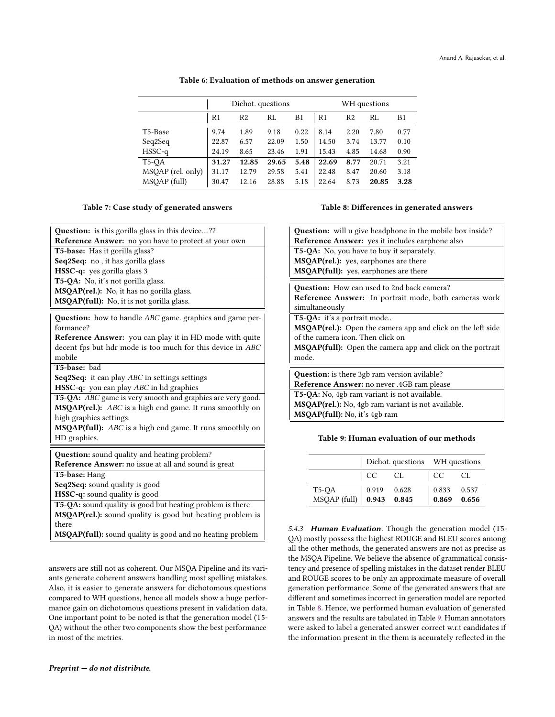#### Table 6: Evaluation of methods on answer generation

<span id="page-5-0"></span>

|                    | Dichot. questions |                |       | WH questions   |       |                |       |      |
|--------------------|-------------------|----------------|-------|----------------|-------|----------------|-------|------|
|                    | R <sub>1</sub>    | R <sub>2</sub> | RL    | B <sub>1</sub> | R1    | R <sub>2</sub> | RL    | B1   |
| T5-Base            | 9.74              | 1.89           | 9.18  | 0.22           | 8.14  | 2.20           | 7.80  | 0.77 |
| Seq2Seq            | 22.87             | 6.57           | 22.09 | 1.50           | 14.50 | 3.74           | 13.77 | 0.10 |
| $HSSC-q$           | 24.19             | 8.65           | 23.46 | 1.91           | 15.43 | 4.85           | 14.68 | 0.90 |
| T <sub>5</sub> -OA | 31.27             | 12.85          | 29.65 | 5.48           | 22.69 | 8.77           | 20.71 | 3.21 |
| MSQAP (rel. only)  | 31.17             | 12.79          | 29.58 | 5.41           | 22.48 | 8.47           | 20.60 | 3.18 |
| MSQAP (full)       | 30.47             | 12.16          | 28.88 | 5.18           | 22.64 | 8.73           | 20.85 | 3.28 |

#### Table 7: Case study of generated answers

Question: is this gorilla glass in this device....?? Reference Answer: no you have to protect at your own T5-base: Has it gorilla glass? Seq2Seq: no , it has gorilla glass HSSC-q: yes gorilla glass 3 T5-QA: No, it's not gorilla glass. MSQAP(rel.): No, it has no gorilla glass. MSQAP(full): No, it is not gorilla glass. Question: how to handle ABC game. graphics and game performance? Reference Answer: you can play it in HD mode with quite decent fps but hdr mode is too much for this device in ABC mobile T5-base: bad Seq2Seq: it can play *ABC* in settings settings HSSC-q: you can play ABC in hd graphics T5-QA: ABC game is very smooth and graphics are very good. MSQAP(rel.): ABC is a high end game. It runs smoothly on high graphics settings. MSQAP(full): ABC is a high end game. It runs smoothly on

HD graphics.

Question: sound quality and heating problem? Reference Answer: no issue at all and sound is great

T5-base: Hang

Seq2Seq: sound quality is good

HSSC-q: sound quality is good

T5-QA: sound quality is good but heating problem is there MSQAP(rel.): sound quality is good but heating problem is there

MSQAP(full): sound quality is good and no heating problem

answers are still not as coherent. Our MSQA Pipeline and its variants generate coherent answers handling most spelling mistakes. Also, it is easier to generate answers for dichotomous questions compared to WH questions, hence all models show a huge performance gain on dichotomous questions present in validation data. One important point to be noted is that the generation model (T5- QA) without the other two components show the best performance in most of the metrics.

#### Table 8: Differences in generated answers

<span id="page-5-1"></span>

| <b>Question:</b> will u give headphone in the mobile box inside?<br>Reference Answer: yes it includes earphone also                                                                                                                                                                                                                                  |  |  |  |  |
|------------------------------------------------------------------------------------------------------------------------------------------------------------------------------------------------------------------------------------------------------------------------------------------------------------------------------------------------------|--|--|--|--|
| T5-QA: No, you have to buy it separately.<br>MSQAP(rel.): yes, earphones are there<br><b>MSOAP(full):</b> yes, earphones are there                                                                                                                                                                                                                   |  |  |  |  |
| <b>Question:</b> How can used to 2nd back camera?<br>Reference Answer: In portrait mode, both cameras work<br>simultaneously<br>T5-QA: it's a portrait mode<br><b>MSOAP(rel.):</b> Open the camera app and click on the left side<br>of the camera icon. Then click on<br><b>MSQAP(full):</b> Open the camera app and click on the portrait<br>mode. |  |  |  |  |
| Question: is there 3gb ram version avilable?<br>Reference Answer: no never .4GB ram please                                                                                                                                                                                                                                                           |  |  |  |  |
| T5-QA: No, 4gb ram variant is not available.<br>$\frac{1}{2}$                                                                                                                                                                                                                                                                                        |  |  |  |  |

MSQAP(rel.): No, 4gb ram variant is not available. MSQAP(full): No, it's 4gb ram

## <span id="page-5-2"></span>Table 9: Human evaluation of our methods

|                                                                                                             |    |    | Dichot. questions WH questions                                 |    |  |
|-------------------------------------------------------------------------------------------------------------|----|----|----------------------------------------------------------------|----|--|
|                                                                                                             | CC | CL | CC                                                             | CL |  |
| T5-QA $\begin{array}{c cc} 15\text{-}QA & 0.919 & 0.628 \\ \text{MSQAP (full)} & 0.943 & 0.845 \end{array}$ |    |    | $\begin{array}{ l} 0.833 & 0.537 \\ 0.869 & 0.656 \end{array}$ |    |  |

5.4.3 Human Evaluation. Though the generation model (T5-QA) mostly possess the highest ROUGE and BLEU scores among all the other methods, the generated answers are not as precise as the MSQA Pipeline. We believe the absence of grammatical consistency and presence of spelling mistakes in the dataset render BLEU and ROUGE scores to be only an approximate measure of overall generation performance. Some of the generated answers that are different and sometimes incorrect in generation model are reported in Table [8.](#page-5-1) Hence, we performed human evaluation of generated answers and the results are tabulated in Table [9.](#page-5-2) Human annotators were asked to label a generated answer correct w.r.t candidates if the information present in the them is accurately reflected in the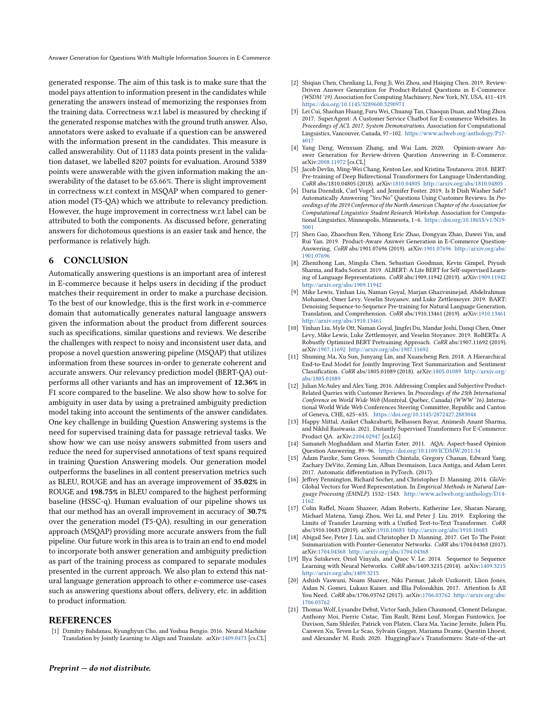Answer Generation for Questions With Multiple Information Sources in E-Commerce

generated response. The aim of this task is to make sure that the model pays attention to information present in the candidates while generating the answers instead of memorizing the responses from the training data. Correctness w.r.t label is measured by checking if the generated response matches with the ground truth answer. Also, annotators were asked to evaluate if a question can be answered with the information present in the candidates. This measure is called answerability. Out of 11183 data points present in the validation dataset, we labelled 8207 points for evaluation. Around 5389 points were answerable with the given information making the answerability of the dataset to be 65.66%. There is slight improvement in correctness w.r.t context in MSQAP when compared to generation model (T5-QA) which we attribute to relevancy prediction. However, the huge improvement in correctness w.r.t label can be attributed to both the components. As discussed before, generating answers for dichotomous questions is an easier task and hence, the performance is relatively high.

## <span id="page-6-6"></span>6 CONCLUSION

Automatically answering questions is an important area of interest in E-commerce because it helps users in deciding if the product matches their requirement in order to make a purchase decision. To the best of our knowledge, this is the first work in e-commerce domain that automatically generates natural language answers given the information about the product from different sources such as specifications, similar questions and reviews. We describe the challenges with respect to noisy and inconsistent user data, and propose a novel question answering pipeline (MSQAP) that utilizes information from these sources in-order to generate coherent and accurate answers. Our relevancy prediction model (BERT-QA) outperforms all other variants and has an improvement of 12.36% in F1 score compared to the baseline. We also show how to solve for ambiguity in user data by using a pretrained ambiguity prediction model taking into account the sentiments of the answer candidates. One key challenge in building Question Answering systems is the need for supervised training data for passage retrieval tasks. We show how we can use noisy answers submitted from users and reduce the need for supervised annotations of text spans required in training Question Answering models. Our generation model outperforms the baselines in all content preservation metrics such as BLEU, ROUGE and has an average improvement of 35.02% in ROUGE and 198.75% in BLEU compared to the highest performing baseline (HSSC-q). Human evaluation of our pipeline shows us that our method has an overall improvement in accuracy of 30.7% over the generation model (T5-QA), resulting in our generation approach (MSQAP) providing more accurate answers from the full pipeline. Our future work in this area is to train an end to end model to incorporate both answer generation and ambiguity prediction as part of the training process as compared to separate modules presented in the current approach. We also plan to extend this natural language generation approach to other e-commerce use-cases such as answering questions about offers, delivery, etc. in addition to product information.

#### **REFERENCES**

<span id="page-6-14"></span>[1] Dzmitry Bahdanau, Kyunghyun Cho, and Yoshua Bengio. 2016. Neural Machine Translation by Jointly Learning to Align and Translate. arXiv[:1409.0473](https://arxiv.org/abs/1409.0473) [cs.CL]

- <span id="page-6-0"></span>[2] Shiqian Chen, Chenliang Li, Feng Ji, Wei Zhou, and Haiqing Chen. 2019. Review-Driven Answer Generation for Product-Related Questions in E-Commerce (WSDM '19). Association for Computing Machinery, New York, NY, USA, 411–419. <https://doi.org/10.1145/3289600.3290971>
- <span id="page-6-10"></span>[3] Lei Cui, Shaohan Huang, Furu Wei, Chuanqi Tan, Chaoqun Duan, and Ming Zhou. 2017. SuperAgent: A Customer Service Chatbot for E-commerce Websites. In Proceedings of ACL 2017, System Demonstrations. Association for Computational Linguistics, Vancouver, Canada, 97–102. [https://www.aclweb.org/anthology/P17-](https://www.aclweb.org/anthology/P17-4017) [4017](https://www.aclweb.org/anthology/P17-4017)
- <span id="page-6-1"></span>[4] Yang Deng, Wenxuan Zhang, and Wai Lam. 2020. Opinion-aware Answer Generation for Review-driven Question Answering in E-Commerce. arXiv[:2008.11972](https://arxiv.org/abs/2008.11972) [cs.CL]
- <span id="page-6-4"></span>[5] Jacob Devlin, Ming-Wei Chang, Kenton Lee, and Kristina Toutanova. 2018. BERT: Pre-training of Deep Bidirectional Transformers for Language Understanding. CoRR abs/1810.04805 (2018). arXiv[:1810.04805](https://arxiv.org/abs/1810.04805) <http://arxiv.org/abs/1810.04805>
- <span id="page-6-16"></span>[6] Daria Dzendzik, Carl Vogel, and Jennifer Foster. 2019. Is It Dish Washer Safe? Automatically Answering "Yes/No" Questions Using Customer Reviews. In Proceedings of the 2019 Conference of the North American Chapter of the Association for Computational Linguistics: Student Research Workshop. Association for Computational Linguistics, Minneapolis, Minnesota, 1–6. [https://doi.org/10.18653/v1/N19-](https://doi.org/10.18653/v1/N19-3001) [3001](https://doi.org/10.18653/v1/N19-3001)
- <span id="page-6-2"></span>[7] Shen Gao, Zhaochun Ren, Yihong Eric Zhao, Dongyan Zhao, Dawei Yin, and Rui Yan. 2019. Product-Aware Answer Generation in E-Commerce Question-Answering. CoRR abs/1901.07696 (2019). arXiv[:1901.07696](https://arxiv.org/abs/1901.07696) [http://arxiv.org/abs/](http://arxiv.org/abs/1901.07696) [1901.07696](http://arxiv.org/abs/1901.07696)
- <span id="page-6-5"></span>[8] Zhenzhong Lan, Mingda Chen, Sebastian Goodman, Kevin Gimpel, Piyush Sharma, and Radu Soricut. 2019. ALBERT: A Lite BERT for Self-supervised Learning of Language Representations. CoRR abs/1909.11942 (2019). arXiv[:1909.11942](https://arxiv.org/abs/1909.11942) <http://arxiv.org/abs/1909.11942>
- <span id="page-6-13"></span>[9] Mike Lewis, Yinhan Liu, Naman Goyal, Marjan Ghazvininejad, Abdelrahman Mohamed, Omer Levy, Veselin Stoyanov, and Luke Zettlemoyer. 2019. BART: Denoising Sequence-to-Sequence Pre-training for Natural Language Generation, Translation, and Comprehension. CoRR abs/1910.13461 (2019). arXiv[:1910.13461](https://arxiv.org/abs/1910.13461) <http://arxiv.org/abs/1910.13461>
- <span id="page-6-7"></span>[10] Yinhan Liu, Myle Ott, Naman Goyal, Jingfei Du, Mandar Joshi, Danqi Chen, Omer Levy, Mike Lewis, Luke Zettlemoyer, and Veselin Stoyanov. 2019. RoBERTa: A Robustly Optimized BERT Pretraining Approach. CoRR abs/1907.11692 (2019). arXiv[:1907.11692](https://arxiv.org/abs/1907.11692) <http://arxiv.org/abs/1907.11692>
- <span id="page-6-18"></span>[11] Shuming Ma, Xu Sun, Junyang Lin, and Xuancheng Ren. 2018. A Hierarchical End-to-End Model for Jointly Improving Text Summarization and Sentiment Classification. CoRR abs/1805.01089 (2018). arXiv[:1805.01089](https://arxiv.org/abs/1805.01089) [http://arxiv.org/](http://arxiv.org/abs/1805.01089) [abs/1805.01089](http://arxiv.org/abs/1805.01089)
- <span id="page-6-15"></span>[12] Julian McAuley and Alex Yang. 2016. Addressing Complex and Subjective Product-Related Queries with Customer Reviews. In Proceedings of the 25th International Conference on World Wide Web (Montréal, Québec, Canada) (WWW '16). International World Wide Web Conferences Steering Committee, Republic and Canton of Geneva, CHE, 625–635. <https://doi.org/10.1145/2872427.2883044>
- <span id="page-6-11"></span>[13] Happy Mittal, Aniket Chakrabarti, Belhassen Bayar, Animesh Anant Sharma, and Nikhil Rasiwasia. 2021. Distantly Supervised Transformers For E-Commerce Product QA. arXiv[:2104.02947](https://arxiv.org/abs/2104.02947) [cs.LG]
- <span id="page-6-9"></span>[14] Samaneh Moghaddam and Martin Ester. 2011. AQA: Aspect-based Opinion Question Answering. 89–96. <https://doi.org/10.1109/ICDMW.2011.34>
- <span id="page-6-20"></span>[15] Adam Paszke, Sam Gross, Soumith Chintala, Gregory Chanan, Edward Yang, Zachary DeVito, Zeming Lin, Alban Desmaison, Luca Antiga, and Adam Lerer. 2017. Automatic differentiation in PyTorch. (2017).
- <span id="page-6-21"></span>[16] Jeffrey Pennington, Richard Socher, and Christopher D. Manning. 2014. GloVe: Global Vectors for Word Representation. In Empirical Methods in Natural Language Processing (EMNLP). 1532–1543. [http://www.aclweb.org/anthology/D14-](http://www.aclweb.org/anthology/D14-1162) [1162](http://www.aclweb.org/anthology/D14-1162)
- <span id="page-6-8"></span>[17] Colin Raffel, Noam Shazeer, Adam Roberts, Katherine Lee, Sharan Narang, Michael Matena, Yanqi Zhou, Wei Li, and Peter J. Liu. 2019. Exploring the Limits of Transfer Learning with a Unified Text-to-Text Transformer. CoRR abs/1910.10683 (2019). arXiv[:1910.10683](https://arxiv.org/abs/1910.10683) <http://arxiv.org/abs/1910.10683>
- <span id="page-6-17"></span>[18] Abigail See, Peter J. Liu, and Christopher D. Manning. 2017. Get To The Point: Summarization with Pointer-Generator Networks. CoRR abs/1704.04368 (2017). arXiv[:1704.04368](https://arxiv.org/abs/1704.04368) <http://arxiv.org/abs/1704.04368>
- <span id="page-6-12"></span>[19] Ilya Sutskever, Oriol Vinyals, and Quoc V. Le. 2014. Sequence to Sequence Learning with Neural Networks. CoRR abs/1409.3215 (2014). arXiv[:1409.3215](https://arxiv.org/abs/1409.3215) <http://arxiv.org/abs/1409.3215>
- <span id="page-6-3"></span>[20] Ashish Vaswani, Noam Shazeer, Niki Parmar, Jakob Uszkoreit, Llion Jones, Aidan N. Gomez, Lukasz Kaiser, and Illia Polosukhin. 2017. Attention Is All You Need. CoRR abs/1706.03762 (2017). arXiv[:1706.03762](https://arxiv.org/abs/1706.03762) [http://arxiv.org/abs/](http://arxiv.org/abs/1706.03762) [1706.03762](http://arxiv.org/abs/1706.03762)
- <span id="page-6-19"></span>[21] Thomas Wolf, Lysandre Debut, Victor Sanh, Julien Chaumond, Clement Delangue, Anthony Moi, Pierric Cistac, Tim Rault, Rémi Louf, Morgan Funtowicz, Joe Davison, Sam Shleifer, Patrick von Platen, Clara Ma, Yacine Jernite, Julien Plu, Canwen Xu, Teven Le Scao, Sylvain Gugger, Mariama Drame, Quentin Lhoest, and Alexander M. Rush. 2020. HuggingFace's Transformers: State-of-the-art